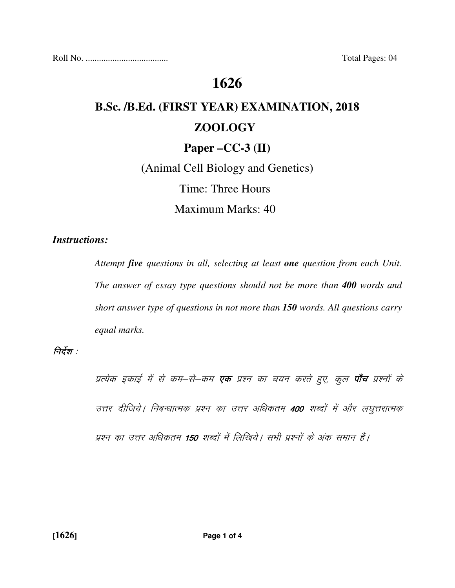Roll No. ..................................... Total Pages: 04

## **1626**

# **B.Sc. /B.Ed. (FIRST YEAR) EXAMINATION, 2018 ZOOLOGY**

#### **Paper –CC-3 (II)**

(Animal Cell Biology and Genetics) Time: Three Hours Maximum Marks: 40

#### *Instructions:*

 *Attempt five questions in all, selecting at least one question from each Unit. The answer of essay type questions should not be more than 400 words and short answer type of questions in not more than 150 words. All questions carry equal marks.* 

#### निर्देश :  $\,$

प्रत्येक इकाई में से कम–से–कम **एक** प्रश्न का चयन करते हुए, कुल **पाँच** प्रश्नों के उत्तर दीजिये | निबन्धात्मक प्रश्न का उत्तर अधिकतम 400 शब्दों में और लघुत्तरात्मक प्रश्न का उत्तर अधिकतम 150 शब्दों में लिखिये। सभी प्रश्नों के अंक समान हैं।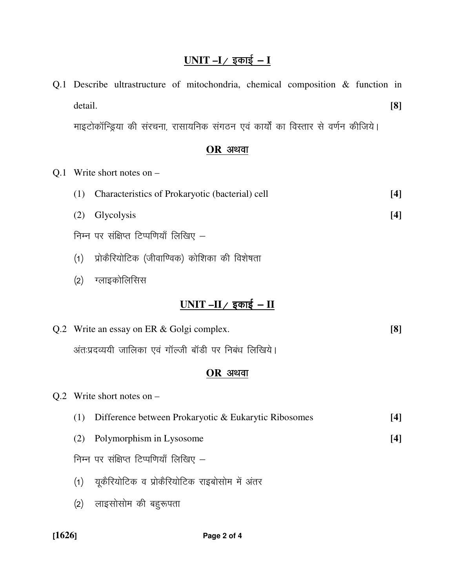## <u>UNIT –I / इकाई – I</u>

|     | Q.1 Describe ultrastructure of mitochondria, chemical composition & function in   |       |  |  |
|-----|-----------------------------------------------------------------------------------|-------|--|--|
|     | detail.                                                                           | [8]   |  |  |
|     | माइटोकॉन्ड्रिया की संरचना, रासायनिक संगठन एवं कार्यों का विस्तार से वर्णन कीजिये। |       |  |  |
|     | $OR$ अथवा                                                                         |       |  |  |
| Q.1 | Write short notes on $-$                                                          |       |  |  |
|     | (1)<br>Characteristics of Prokaryotic (bacterial) cell                            | $[4]$ |  |  |
|     | Glycolysis<br>(2)                                                                 | [4]   |  |  |
|     | निम्न पर संक्षिप्त टिप्पणियाँ लिखिए –                                             |       |  |  |
|     | प्रोकैरियोटिक (जीवाण्विक) कोशिका की विशेषता<br>(1)                                |       |  |  |
|     | ग्लाइकोलिसिस<br>(2)                                                               |       |  |  |
|     | <u>UNIT –II/ इकाई – II</u>                                                        |       |  |  |
|     | Q.2 Write an essay on ER & Golgi complex.                                         | [8]   |  |  |
|     | अंत:प्रदव्ययी जालिका एवं गॉल्जी बॉडी पर निबंध लिखिये।                             |       |  |  |
|     | $OR$ अथवा                                                                         |       |  |  |
|     | Q.2 Write short notes on $-$                                                      |       |  |  |
|     | Difference between Prokaryotic & Eukarytic Ribosomes<br>(1)                       | $[4]$ |  |  |
|     | Polymorphism in Lysosome<br>(2)                                                   | $[4]$ |  |  |
|     | निम्न पर संक्षिप्त टिप्पणियाँ लिखिए –                                             |       |  |  |
|     | यूकैरियोटिक व प्रोकैरियोटिक राइबोसोम में अंतर<br>(1)                              |       |  |  |
|     | लाइसोसोम की बहुरूपता<br>(2)                                                       |       |  |  |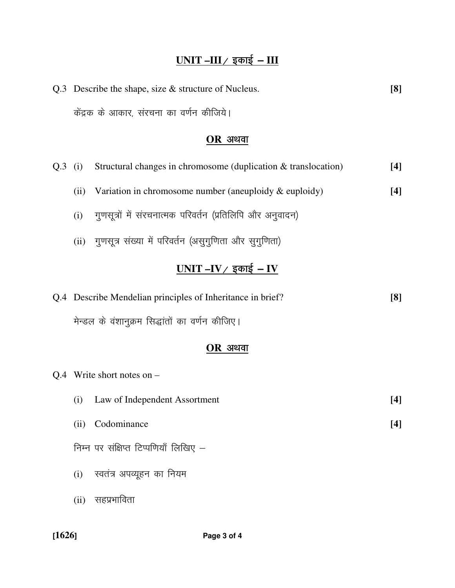## <u>UNIT –III / इकाई – III</u>

| Q.3 Describe the shape, size $&$ structure of Nucleus. | $\lceil 8 \rceil$ |
|--------------------------------------------------------|-------------------|
| केंद्रक के आकार, संरचना का वर्णन कीजिये।               |                   |

## $OR$  अथवा

|           | $Q.3$ (i) | Structural changes in chromosome (duplication & translocation) | [4] |  |
|-----------|-----------|----------------------------------------------------------------|-----|--|
|           | (ii)      | Variation in chromosome number (aneuploidy $\&$ euploidy)      | [4] |  |
|           | (i)       | गुणसूत्रों में संरचनात्मक परिवर्तन (प्रतिलिपि और अनुवादन)      |     |  |
|           | (ii)      | गुणसूत्र संख्या में परिवर्तन (असुगुणिता और सुगुणिता)           |     |  |
|           |           | UNIT –IV / इकाई – IV                                           |     |  |
|           |           | Q.4 Describe Mendelian principles of Inheritance in brief?     | [8] |  |
|           |           | मेन्डल के वंशानुक्रम सिद्धांतों का वर्णन कीजिए।                |     |  |
| $OR$ अथवा |           |                                                                |     |  |
|           |           | Q.4 Write short notes on $-$                                   |     |  |

| (i)  | Law of Independent Assortment         | [4] |
|------|---------------------------------------|-----|
| (ii) | Codominance                           | [4] |
|      | निम्न पर संक्षिप्त टिप्पणियाँ लिखिए - |     |
| (i)  | स्वतंत्र अपव्यूहन का नियम             |     |
| (ii) | सहप्रभाविता                           |     |